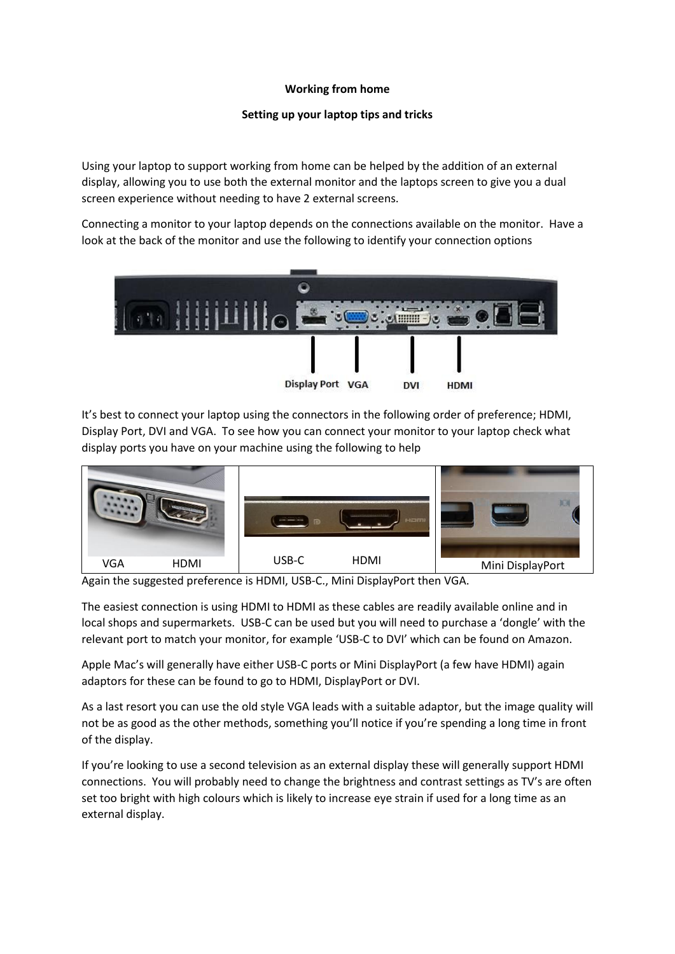## **Working from home**

# **Setting up your laptop tips and tricks**

Using your laptop to support working from home can be helped by the addition of an external display, allowing you to use both the external monitor and the laptops screen to give you a dual screen experience without needing to have 2 external screens.

Connecting a monitor to your laptop depends on the connections available on the monitor. Have a look at the back of the monitor and use the following to identify your connection options



It's best to connect your laptop using the connectors in the following order of preference; HDMI, Display Port, DVI and VGA. To see how you can connect your monitor to your laptop check what display ports you have on your machine using the following to help



Again the suggested preference is HDMI, USB-C., Mini DisplayPort then VGA.

The easiest connection is using HDMI to HDMI as these cables are readily available online and in local shops and supermarkets. USB-C can be used but you will need to purchase a 'dongle' with the relevant port to match your monitor, for example 'USB-C to DVI' which can be found on Amazon.

Apple Mac's will generally have either USB-C ports or Mini DisplayPort (a few have HDMI) again adaptors for these can be found to go to HDMI, DisplayPort or DVI.

As a last resort you can use the old style VGA leads with a suitable adaptor, but the image quality will not be as good as the other methods, something you'll notice if you're spending a long time in front of the display.

If you're looking to use a second television as an external display these will generally support HDMI connections. You will probably need to change the brightness and contrast settings as TV's are often set too bright with high colours which is likely to increase eye strain if used for a long time as an external display.